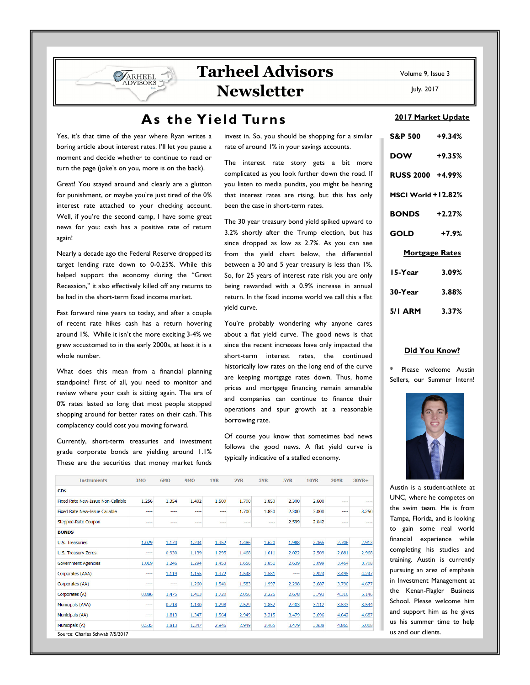# **Tarheel Advisors Newsletter**

# **As the Yield Turns**

Yes, it's that time of the year where Ryan writes a boring article about interest rates. I'll let you pause a moment and decide whether to continue to read or turn the page (joke's on you, more is on the back).

ARHEEL VISORS

Great! You stayed around and clearly are a glutton for punishment, or maybe you're just tired of the 0% interest rate attached to your checking account. Well, if you're the second camp, I have some great news for you: cash has a positive rate of return again!

Nearly a decade ago the Federal Reserve dropped its target lending rate down to 0-0.25%. While this helped support the economy during the "Great Recession," it also effectively killed off any returns to be had in the short-term fixed income market.

Fast forward nine years to today, and after a couple of recent rate hikes cash has a return hovering around 1%. While it isn't the more exciting 3-4% we grew accustomed to in the early 2000s, at least it is a whole number.

What does this mean from a financial planning standpoint? First of all, you need to monitor and review where your cash is sitting again. The era of 0% rates lasted so long that most people stopped shopping around for better rates on their cash. This complacency could cost you moving forward.

Currently, short-term treasuries and investment grade corporate bonds are yielding around 1.1% These are the securities that money market funds invest in. So, you should be shopping for a similar rate of around 1% in your savings accounts.

The interest rate story gets a bit more complicated as you look further down the road. If you listen to media pundits, you might be hearing that interest rates are rising, but this has only been the case in short-term rates.

The 30 year treasury bond yield spiked upward to 3.2% shortly after the Trump election, but has since dropped as low as 2.7%. As you can see from the yield chart below, the differential between a 30 and 5 year treasury is less than 1%. So, for 25 years of interest rate risk you are only being rewarded with a 0.9% increase in annual return. In the fixed income world we call this a flat yield curve.

You're probably wondering why anyone cares about a flat yield curve. The good news is that since the recent increases have only impacted the short-term interest rates, the continued historically low rates on the long end of the curve are keeping mortgage rates down. Thus, home prices and mortgage financing remain amenable and companies can continue to finance their operations and spur growth at a reasonable borrowing rate.

Of course you know that sometimes bad news follows the good news. A flat yield curve is typically indicative of a stalled economy.

| <b>Instruments</b>                | <b>3MO</b> | <b>6MO</b> | 9MO   | 1YR       | 2YR   | 3YR   | 5YR   | <b>10YR</b> | <b>20YR</b>    | $30YR +$ |
|-----------------------------------|------------|------------|-------|-----------|-------|-------|-------|-------------|----------------|----------|
| <b>CD<sub>S</sub></b>             |            |            |       |           |       |       |       |             |                |          |
| Fixed Rate New-Issue Non-Callable | 1.256      | 1.354      | 1.402 | 1.500     | 1.700 | 1.850 | 2.300 | 2.600       | $- - -$        |          |
| Fixed Rate New-Issue Callable     | ----       | $\cdots$   | ----  | $- - - -$ | 1.700 | 1.850 | 2.300 | 3.000       | $\overline{a}$ | 3.250    |
| Stepped-Rate Coupon               | ----       | $\cdots$   | ----  | ----      | ----  | ----  | 2.599 | 2.042       | ----           |          |
| <b>BONDS</b>                      |            |            |       |           |       |       |       |             |                |          |
| <b>U.S. Treasuries</b>            | 1.029      | 1.174      | 1.244 | 1.352     | 1.486 | 1.620 | 1.988 | 2.365       | 2.706          | 2.913    |
| <b>U.S. Treasury Zeros</b>        | ----       | 0.930      | 1.139 | 1.295     | 1.468 | 1.611 | 2.022 | 2.509       | 2.881          | 2.968    |
| <b>Government Agencies</b>        | 1.019      | 1.246      | 1.294 | 1.453     | 1.656 | 1.851 | 2.639 | 3.099       | 3.464          | 3.708    |
| Corporates (AAA)                  | ----       | 1.119      | 1.155 | 1.372     | 1.548 | 1.581 | ----  | 2.924       | 3.495          | 4.247    |
| Corporates (AA)                   | ----       | ----       | 1.260 | 1.540     | 1.583 | 1.997 | 2.298 | 3.687       | 3.790          | 4.677    |
| Corporates (A)                    | 0.886      | 1.475      | 1.413 | 1.720     | 2.056 | 2.226 | 2.678 | 3.793       | 4.310          | 5.146    |
| Municipals (AAA)                  | ----       | 0.718      | 1.130 | 1.298     | 2.529 | 1.852 | 2.403 | 3.112       | 3.533          | 3.544    |
| Municipals (AA)                   | ----       | 1.813      | 1.347 | 1.564     | 2.949 | 3.215 | 3.479 | 3.696       | 4.642          | 4.687    |
| Municipals (A)                    | 0.535      | 1.813      | 1.347 | 2.946     | 2.949 | 3.465 | 3.479 | 3.938       | 4.865          | 5.008    |
| Source: Charles Schwab 7/5/2017   |            |            |       |           |       |       |       |             |                |          |

Volume 9, Issue 3

July, 2017

#### **2017 Market Update**

| S&P 500 +9.34%        |          |  |  |  |  |  |
|-----------------------|----------|--|--|--|--|--|
| <b>DOW</b>            | $+9.35%$ |  |  |  |  |  |
| RUSS 2000 +4.99%      |          |  |  |  |  |  |
| MSCI World +12.82%    |          |  |  |  |  |  |
| <b>BONDS</b> +2.27%   |          |  |  |  |  |  |
| GOLD                  | $+7.9%$  |  |  |  |  |  |
| <b>Mortgage Rates</b> |          |  |  |  |  |  |
| 15-Year               | 3.09%    |  |  |  |  |  |
| 30-Year               | 3.88%    |  |  |  |  |  |
| 5/1 ARM 3.37%         |          |  |  |  |  |  |

#### **Did You Know?**

Please welcome Austin Sellers, our Summer Intern!



Austin is a student-athlete at UNC, where he competes on the swim team. He is from Tampa, Florida, and is looking to gain some real world financial experience while completing his studies and training. Austin is currently pursuing an area of emphasis in Investment Management at the Kenan-Flagler Business School. Please welcome him and support him as he gives us his summer time to help us and our clients.